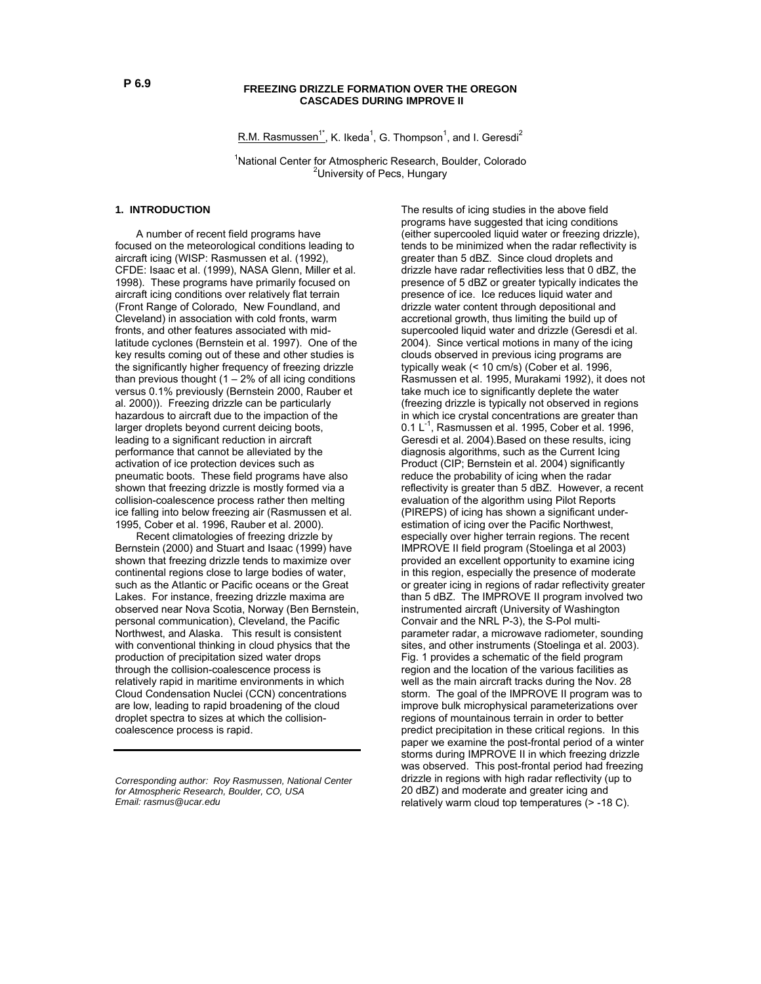## **FREEZING DRIZZLE FORMATION OVER THE OREGON CASCADES DURING IMPROVE II**

R.M. Rasmussen<sup>1\*</sup>, K. Ikeda<sup>1</sup>, G. Thompson<sup>1</sup>, and I. Geresdi<sup>2</sup>

<sup>1</sup> National Center for Atmospheric Research, Boulder, Colorado <sup>2</sup>University of Pecs, Hungary

### **1. INTRODUCTION**

 A number of recent field programs have focused on the meteorological conditions leading to aircraft icing (WISP: Rasmussen et al. (1992), CFDE: Isaac et al. (1999), NASA Glenn, Miller et al. 1998). These programs have primarily focused on aircraft icing conditions over relatively flat terrain (Front Range of Colorado, New Foundland, and Cleveland) in association with cold fronts, warm fronts, and other features associated with midlatitude cyclones (Bernstein et al. 1997). One of the key results coming out of these and other studies is the significantly higher frequency of freezing drizzle than previous thought  $(1 – 2%$  of all icing conditions versus 0.1% previously (Bernstein 2000, Rauber et al. 2000)). Freezing drizzle can be particularly hazardous to aircraft due to the impaction of the larger droplets beyond current deicing boots, leading to a significant reduction in aircraft performance that cannot be alleviated by the activation of ice protection devices such as pneumatic boots. These field programs have also shown that freezing drizzle is mostly formed via a collision-coalescence process rather then melting ice falling into below freezing air (Rasmussen et al. 1995, Cober et al. 1996, Rauber et al. 2000).

 Recent climatologies of freezing drizzle by Bernstein (2000) and Stuart and Isaac (1999) have shown that freezing drizzle tends to maximize over continental regions close to large bodies of water, such as the Atlantic or Pacific oceans or the Great Lakes. For instance, freezing drizzle maxima are observed near Nova Scotia, Norway (Ben Bernstein, personal communication), Cleveland, the Pacific Northwest, and Alaska. This result is consistent with conventional thinking in cloud physics that the production of precipitation sized water drops through the collision-coalescence process is relatively rapid in maritime environments in which Cloud Condensation Nuclei (CCN) concentrations are low, leading to rapid broadening of the cloud droplet spectra to sizes at which the collisioncoalescence process is rapid.

The results of icing studies in the above field programs have suggested that icing conditions (either supercooled liquid water or freezing drizzle), tends to be minimized when the radar reflectivity is greater than 5 dBZ. Since cloud droplets and drizzle have radar reflectivities less that 0 dBZ, the presence of 5 dBZ or greater typically indicates the presence of ice. Ice reduces liquid water and drizzle water content through depositional and accretional growth, thus limiting the build up of supercooled liquid water and drizzle (Geresdi et al. 2004). Since vertical motions in many of the icing clouds observed in previous icing programs are typically weak (< 10 cm/s) (Cober et al. 1996, Rasmussen et al. 1995, Murakami 1992), it does not take much ice to significantly deplete the water (freezing drizzle is typically not observed in regions in which ice crystal concentrations are greater than 0.1 L<sup>-1</sup>, Rasmussen et al. 1995, Cober et al. 1996, Geresdi et al. 2004).Based on these results, icing diagnosis algorithms, such as the Current Icing Product (CIP; Bernstein et al. 2004) significantly reduce the probability of icing when the radar reflectivity is greater than 5 dBZ. However, a recent evaluation of the algorithm using Pilot Reports (PIREPS) of icing has shown a significant underestimation of icing over the Pacific Northwest, especially over higher terrain regions. The recent IMPROVE II field program (Stoelinga et al 2003) provided an excellent opportunity to examine icing in this region, especially the presence of moderate or greater icing in regions of radar reflectivity greater than 5 dBZ. The IMPROVE II program involved two instrumented aircraft (University of Washington Convair and the NRL P-3), the S-Pol multiparameter radar, a microwave radiometer, sounding sites, and other instruments (Stoelinga et al. 2003). Fig. 1 provides a schematic of the field program region and the location of the various facilities as well as the main aircraft tracks during the Nov. 28 storm. The goal of the IMPROVE II program was to improve bulk microphysical parameterizations over regions of mountainous terrain in order to better predict precipitation in these critical regions. In this paper we examine the post-frontal period of a winter storms during IMPROVE II in which freezing drizzle was observed. This post-frontal period had freezing drizzle in regions with high radar reflectivity (up to 20 dBZ) and moderate and greater icing and relatively warm cloud top temperatures (> -18 C).

*Corresponding author: Roy Rasmussen, National Center for Atmospheric Research, Boulder, CO, USA Email: rasmus@ucar.edu*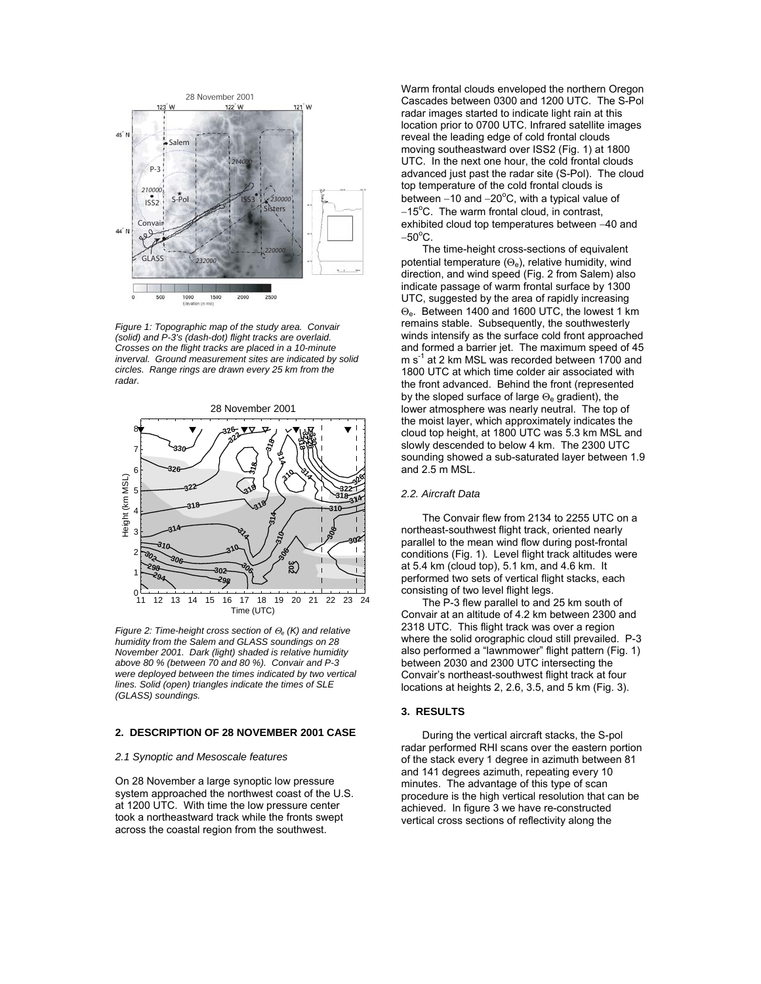

*Figure 1: Topographic map of the study area. Convair (solid) and P-3's (dash-dot) flight tracks are overlaid. Crosses on the flight tracks are placed in a 10-minute inverval. Ground measurement sites are indicated by solid circles. Range rings are drawn every 25 km from the radar.* 



*Figure 2: Time-height cross section of* Θ*e (K) and relative humidity from the Salem and GLASS soundings on 28 November 2001. Dark (light) shaded is relative humidity above 80 % (between 70 and 80 %). Convair and P-3 were deployed between the times indicated by two vertical lines. Solid (open) triangles indicate the times of SLE (GLASS) soundings.* 

## **2. DESCRIPTION OF 28 NOVEMBER 2001 CASE**

#### *2.1 Synoptic and Mesoscale features*

On 28 November a large synoptic low pressure system approached the northwest coast of the U.S. at 1200 UTC. With time the low pressure center took a northeastward track while the fronts swept across the coastal region from the southwest.

Warm frontal clouds enveloped the northern Oregon Cascades between 0300 and 1200 UTC. The S-Pol radar images started to indicate light rain at this location prior to 0700 UTC. Infrared satellite images reveal the leading edge of cold frontal clouds moving southeastward over ISS2 (Fig. 1) at 1800 UTC. In the next one hour, the cold frontal clouds advanced just past the radar site (S-Pol). The cloud top temperature of the cold frontal clouds is between -10 and -20°C, with a typical value of −15<sup>o</sup>C. The warm frontal cloud, in contrast, exhibited cloud top temperatures between −40 and  $-50^{\circ}$ C.

 The time-height cross-sections of equivalent potential temperature  $(\Theta_e)$ , relative humidity, wind direction, and wind speed (Fig. 2 from Salem) also indicate passage of warm frontal surface by 1300 UTC, suggested by the area of rapidly increasing Θe. Between 1400 and 1600 UTC, the lowest 1 km remains stable. Subsequently, the southwesterly winds intensify as the surface cold front approached and formed a barrier jet. The maximum speed of 45  $m s<sup>-1</sup>$  at 2 km MSL was recorded between 1700 and 1800 UTC at which time colder air associated with the front advanced. Behind the front (represented by the sloped surface of large  $\Theta_e$  gradient), the lower atmosphere was nearly neutral. The top of the moist layer, which approximately indicates the cloud top height, at 1800 UTC was 5.3 km MSL and slowly descended to below 4 km. The 2300 UTC sounding showed a sub-saturated layer between 1.9 and 2.5 m MSL.

# *2.2. Aircraft Data*

 The Convair flew from 2134 to 2255 UTC on a northeast-southwest flight track, oriented nearly parallel to the mean wind flow during post-frontal conditions (Fig. 1). Level flight track altitudes were at 5.4 km (cloud top), 5.1 km, and 4.6 km. It performed two sets of vertical flight stacks, each consisting of two level flight legs.

 The P-3 flew parallel to and 25 km south of Convair at an altitude of 4.2 km between 2300 and 2318 UTC. This flight track was over a region where the solid orographic cloud still prevailed. P-3 also performed a "lawnmower" flight pattern (Fig. 1) between 2030 and 2300 UTC intersecting the Convair's northeast-southwest flight track at four locations at heights 2, 2.6, 3.5, and 5 km (Fig. 3).

# **3. RESULTS**

During the vertical aircraft stacks, the S-pol radar performed RHI scans over the eastern portion of the stack every 1 degree in azimuth between 81 and 141 degrees azimuth, repeating every 10 minutes. The advantage of this type of scan procedure is the high vertical resolution that can be achieved. In figure 3 we have re-constructed vertical cross sections of reflectivity along the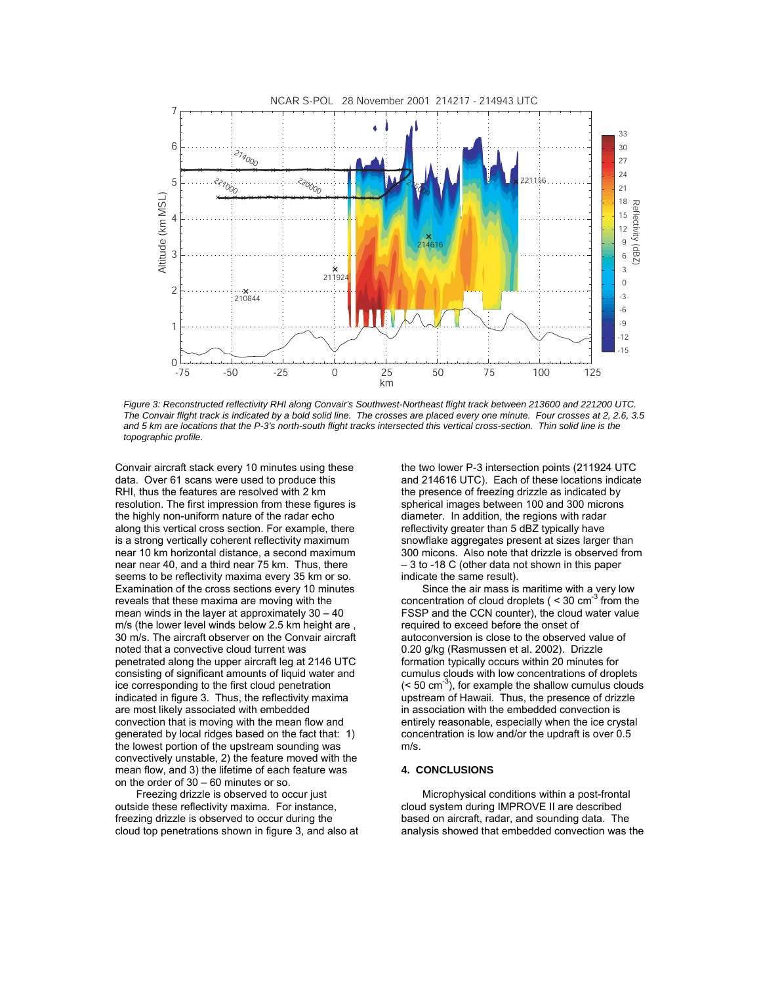

*Figure 3: Reconstructed reflectivity RHI along Convair's Southwest-Northeast flight track between 213600 and 221200 UTC. The Convair flight track is indicated by a bold solid line. The crosses are placed every one minute. Four crosses at 2, 2.6, 3.5 and 5 km are locations that the P-3's north-south flight tracks intersected this vertical cross-section. Thin solid line is the topographic profile.* 

Convair aircraft stack every 10 minutes using these data. Over 61 scans were used to produce this RHI, thus the features are resolved with 2 km resolution. The first impression from these figures is the highly non-uniform nature of the radar echo along this vertical cross section. For example, there is a strong vertically coherent reflectivity maximum near 10 km horizontal distance, a second maximum near near 40, and a third near 75 km. Thus, there seems to be reflectivity maxima every 35 km or so. Examination of the cross sections every 10 minutes reveals that these maxima are moving with the mean winds in the layer at approximately 30 – 40 m/s (the lower level winds below 2.5 km height are , 30 m/s. The aircraft observer on the Convair aircraft noted that a convective cloud turrent was penetrated along the upper aircraft leg at 2146 UTC consisting of significant amounts of liquid water and ice corresponding to the first cloud penetration indicated in figure 3. Thus, the reflectivity maxima are most likely associated with embedded convection that is moving with the mean flow and generated by local ridges based on the fact that: 1) the lowest portion of the upstream sounding was convectively unstable, 2) the feature moved with the mean flow, and 3) the lifetime of each feature was on the order of 30 – 60 minutes or so.

Freezing drizzle is observed to occur just outside these reflectivity maxima. For instance, freezing drizzle is observed to occur during the cloud top penetrations shown in figure 3, and also at the two lower P-3 intersection points (211924 UTC and 214616 UTC). Each of these locations indicate the presence of freezing drizzle as indicated by spherical images between 100 and 300 microns diameter. In addition, the regions with radar reflectivity greater than 5 dBZ typically have snowflake aggregates present at sizes larger than 300 micons. Also note that drizzle is observed from – 3 to -18 C (other data not shown in this paper indicate the same result).

Since the air mass is maritime with a very low concentration of cloud droplets ( $\leq$  30 cm<sup>-3</sup> from the FSSP and the CCN counter), the cloud water value required to exceed before the onset of autoconversion is close to the observed value of 0.20 g/kg (Rasmussen et al. 2002). Drizzle formation typically occurs within 20 minutes for cumulus clouds with low concentrations of droplets  $(< 50 \text{ cm}^{-3})$ , for example the shallow cumulus clouds upstream of Hawaii. Thus, the presence of drizzle in association with the embedded convection is entirely reasonable, especially when the ice crystal concentration is low and/or the updraft is over 0.5 m/s.

### **4. CONCLUSIONS**

 Microphysical conditions within a post-frontal cloud system during IMPROVE II are described based on aircraft, radar, and sounding data. The analysis showed that embedded convection was the